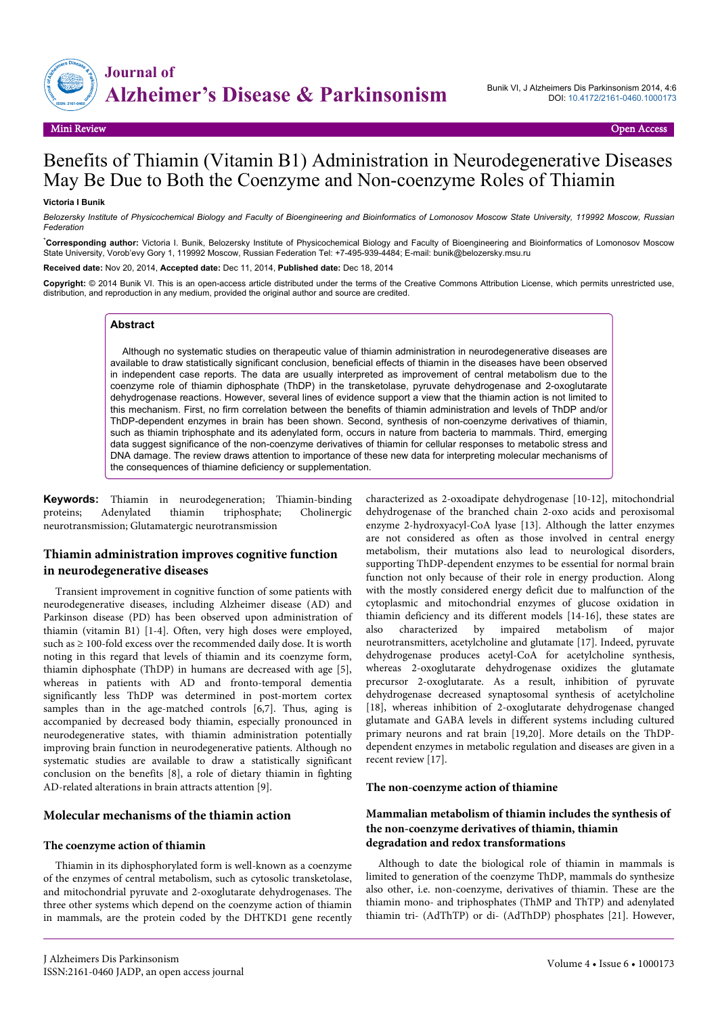

# Benefits of Thiamin (Vitamin B1) Administration in Neurodegenerative Diseases May Be Due to Both the Coenzyme and Non-coenzyme Roles of Thiamin

#### **Victoria I Bunik**

*Belozersky Institute of Physicochemical Biology and Faculty of Bioengineering and Bioinformatics of Lomonosov Moscow State University, 119992 Moscow, Russian Federation*

\***Corresponding author:** Victoria I. Bunik, Belozersky Institute of Physicochemical Biology and Faculty of Bioengineering and Bioinformatics of Lomonosov Moscow State University, Vorob'evy Gory 1, 119992 Moscow, Russian Federation Tel: +7-495-939-4484; E-mail: bunik@belozersky.msu.ru

**Received date:** Nov 20, 2014, **Accepted date:** Dec 11, 2014, **Published date:** Dec 18, 2014

**Copyright:** © 2014 Bunik VI. This is an open-access article distributed under the terms of the Creative Commons Attribution License, which permits unrestricted use, distribution, and reproduction in any medium, provided the original author and source are credited.

#### **Abstract**

Although no systematic studies on therapeutic value of thiamin administration in neurodegenerative diseases are available to draw statistically significant conclusion, beneficial effects of thiamin in the diseases have been observed in independent case reports. The data are usually interpreted as improvement of central metabolism due to the coenzyme role of thiamin diphosphate (ThDP) in the transketolase, pyruvate dehydrogenase and 2-oxoglutarate dehydrogenase reactions. However, several lines of evidence support a view that the thiamin action is not limited to this mechanism. First, no firm correlation between the benefits of thiamin administration and levels of ThDP and/or ThDP-dependent enzymes in brain has been shown. Second, synthesis of non-coenzyme derivatives of thiamin, such as thiamin triphosphate and its adenylated form, occurs in nature from bacteria to mammals. Third, emerging data suggest significance of the non-coenzyme derivatives of thiamin for cellular responses to metabolic stress and DNA damage. The review draws attention to importance of these new data for interpreting molecular mechanisms of the consequences of thiamine deficiency or supplementation.

**Keywords:** Thiamin in neurodegeneration; Thiamin-binding proteins; Adenylated thiamin triphosphate; Cholinergic neurotransmission; Glutamatergic neurotransmission

# **Thiamin administration improves cognitive function in neurodegenerative diseases**

Transient improvement in cognitive function of some patients with neurodegenerative diseases, including Alzheimer disease (AD) and Parkinson disease (PD) has been observed upon administration of thiamin (vitamin B1) [1-4]. Often, very high doses were employed, such as ≥ 100-fold excess over the recommended daily dose. It is worth noting in this regard that levels of thiamin and its coenzyme form, thiamin diphosphate (ThDP) in humans are decreased with age [5], whereas in patients with AD and fronto-temporal dementia significantly less ThDP was determined in post-mortem cortex samples than in the age-matched controls [6,7]. Thus, aging is accompanied by decreased body thiamin, especially pronounced in neurodegenerative states, with thiamin administration potentially improving brain function in neurodegenerative patients. Although no systematic studies are available to draw a statistically significant conclusion on the benefits [8], a role of dietary thiamin in fighting AD-related alterations in brain attracts attention [9].

#### **Molecular mechanisms of the thiamin action**

#### **The coenzyme action of thiamin**

Thiamin in its diphosphorylated form is well-known as a coenzyme of the enzymes of central metabolism, such as cytosolic transketolase, and mitochondrial pyruvate and 2-oxoglutarate dehydrogenases. The three other systems which depend on the coenzyme action of thiamin in mammals, are the protein coded by the DHTKD1 gene recently

characterized as 2-oxoadipate dehydrogenase [10-12], mitochondrial dehydrogenase of the branched chain 2-oxo acids and peroxisomal enzyme 2-hydroxyacyl-CoA lyase [13]. Although the latter enzymes are not considered as often as those involved in central energy metabolism, their mutations also lead to neurological disorders, supporting ThDP-dependent enzymes to be essential for normal brain function not only because of their role in energy production. Along with the mostly considered energy deficit due to malfunction of the cytoplasmic and mitochondrial enzymes of glucose oxidation in thiamin deficiency and its different models [14-16], these states are also characterized by impaired metabolism of major neurotransmitters, acetylcholine and glutamate [17]. Indeed, pyruvate dehydrogenase produces acetyl-CoA for acetylcholine synthesis, whereas 2-oxoglutarate dehydrogenase oxidizes the glutamate precursor 2-oxoglutarate. As a result, inhibition of pyruvate dehydrogenase decreased synaptosomal synthesis of acetylcholine [18], whereas inhibition of 2-oxoglutarate dehydrogenase changed glutamate and GABA levels in different systems including cultured primary neurons and rat brain [19,20]. More details on the ThDPdependent enzymes in metabolic regulation and diseases are given in a recent review [17].

#### **The non-coenzyme action of thiamine**

# **Mammalian metabolism of thiamin includes the synthesis of the non-coenzyme derivatives of thiamin, thiamin degradation and redox transformations**

Although to date the biological role of thiamin in mammals is limited to generation of the coenzyme ThDP, mammals do synthesize also other, i.e. non-coenzyme, derivatives of thiamin. These are the thiamin mono- and triphosphates (ThMP and ThTP) and adenylated thiamin tri- (AdThTP) or di- (AdThDP) phosphates [21]. However,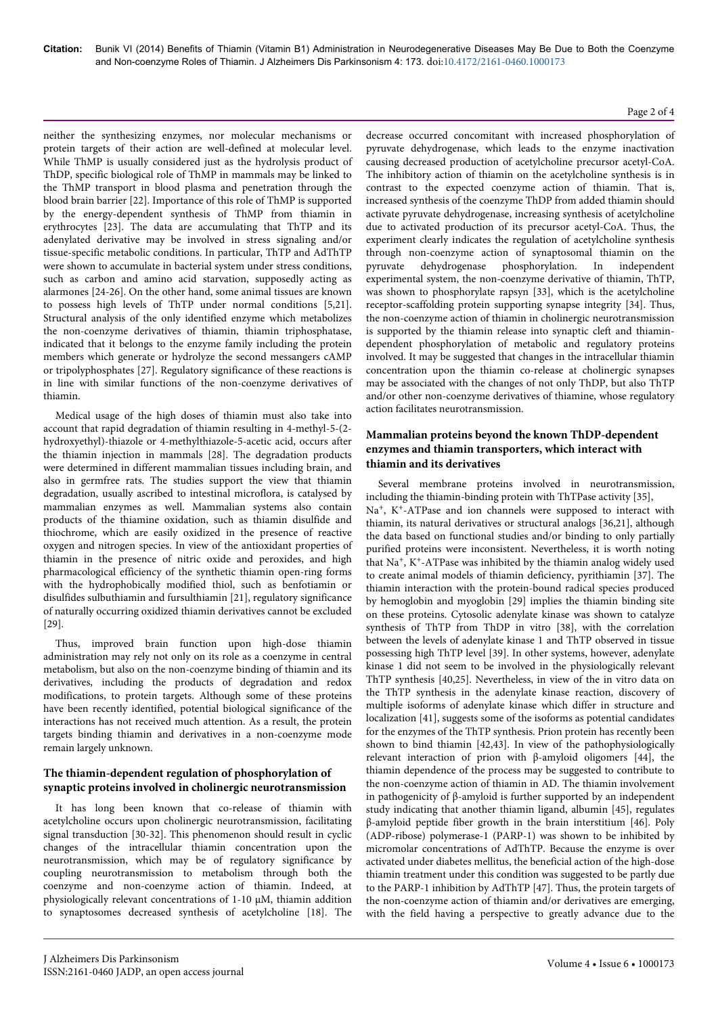neither the synthesizing enzymes, nor molecular mechanisms or protein targets of their action are well-defined at molecular level. While ThMP is usually considered just as the hydrolysis product of ThDP, specific biological role of ThMP in mammals may be linked to the ThMP transport in blood plasma and penetration through the blood brain barrier [22]. Importance of this role of ThMP is supported by the energy-dependent synthesis of ThMP from thiamin in erythrocytes [23]. The data are accumulating that ThTP and its adenylated derivative may be involved in stress signaling and/or tissue-specific metabolic conditions. In particular, ThTP and AdThTP were shown to accumulate in bacterial system under stress conditions, such as carbon and amino acid starvation, supposedly acting as alarmones [24-26]. On the other hand, some animal tissues are known to possess high levels of ThTP under normal conditions [5,21]. Structural analysis of the only identified enzyme which metabolizes the non-coenzyme derivatives of thiamin, thiamin triphosphatase, indicated that it belongs to the enzyme family including the protein members which generate or hydrolyze the second messangers cAMP or tripolyphosphates [27]. Regulatory significance of these reactions is in line with similar functions of the non-coenzyme derivatives of thiamin.

Medical usage of the high doses of thiamin must also take into account that rapid degradation of thiamin resulting in 4-methyl-5-(2 hydroxyethyl)-thiazole or 4-methylthiazole-5-acetic acid, occurs after the thiamin injection in mammals [28]. The degradation products were determined in different mammalian tissues including brain, and also in germfree rats. The studies support the view that thiamin degradation, usually ascribed to intestinal microflora, is catalysed by mammalian enzymes as well. Mammalian systems also contain products of the thiamine oxidation, such as thiamin disulfide and thiochrome, which are easily oxidized in the presence of reactive oxygen and nitrogen species. In view of the antioxidant properties of thiamin in the presence of nitric oxide and peroxides, and high pharmacological efficiency of the synthetic thiamin open-ring forms with the hydrophobically modified thiol, such as benfotiamin or disulfides sulbuthiamin and fursulthiamin [21], regulatory significance of naturally occurring oxidized thiamin derivatives cannot be excluded [29].

Thus, improved brain function upon high-dose thiamin administration may rely not only on its role as a coenzyme in central metabolism, but also on the non-coenzyme binding of thiamin and its derivatives, including the products of degradation and redox modifications, to protein targets. Although some of these proteins have been recently identified, potential biological significance of the interactions has not received much attention. As a result, the protein targets binding thiamin and derivatives in a non-coenzyme mode remain largely unknown.

# **The thiamin-dependent regulation of phosphorylation of synaptic proteins involved in cholinergic neurotransmission**

It has long been known that co-release of thiamin with acetylcholine occurs upon cholinergic neurotransmission, facilitating signal transduction [30-32]. This phenomenon should result in cyclic changes of the intracellular thiamin concentration upon the neurotransmission, which may be of regulatory significance by coupling neurotransmission to metabolism through both the coenzyme and non-coenzyme action of thiamin. Indeed, at physiologically relevant concentrations of 1-10 µM, thiamin addition to synaptosomes decreased synthesis of acetylcholine [18]. The

#### decrease occurred concomitant with increased phosphorylation of pyruvate dehydrogenase, which leads to the enzyme inactivation causing decreased production of acetylcholine precursor acetyl-CoA. The inhibitory action of thiamin on the acetylcholine synthesis is in contrast to the expected coenzyme action of thiamin. That is, increased synthesis of the coenzyme ThDP from added thiamin should activate pyruvate dehydrogenase, increasing synthesis of acetylcholine due to activated production of its precursor acetyl-CoA. Thus, the experiment clearly indicates the regulation of acetylcholine synthesis through non-coenzyme action of synaptosomal thiamin on the pyruvate dehydrogenase phosphorylation. In independent experimental system, the non-coenzyme derivative of thiamin, ThTP, was shown to phosphorylate rapsyn [33], which is the acetylcholine receptor-scaffolding protein supporting synapse integrity [34]. Thus, the non-coenzyme action of thiamin in cholinergic neurotransmission is supported by the thiamin release into synaptic cleft and thiamindependent phosphorylation of metabolic and regulatory proteins involved. It may be suggested that changes in the intracellular thiamin concentration upon the thiamin co-release at cholinergic synapses may be associated with the changes of not only ThDP, but also ThTP and/or other non-coenzyme derivatives of thiamine, whose regulatory action facilitates neurotransmission.

# **Mammalian proteins beyond the known ThDP-dependent enzymes and thiamin transporters, which interact with thiamin and its derivatives**

Several membrane proteins involved in neurotransmission, including the thiamin-binding protein with ThTPase activity [35],

Na<sup>+</sup>, K<sup>+</sup>-ATPase and ion channels were supposed to interact with thiamin, its natural derivatives or structural analogs [36,21], although the data based on functional studies and/or binding to only partially purified proteins were inconsistent. Nevertheless, it is worth noting that Na<sup>+</sup>, K<sup>+</sup>-ATPase was inhibited by the thiamin analog widely used to create animal models of thiamin deficiency, pyrithiamin [37]. The thiamin interaction with the protein-bound radical species produced by hemoglobin and myoglobin [29] implies the thiamin binding site on these proteins. Cytosolic adenylate kinase was shown to catalyze synthesis of ThTP from ThDP in vitro [38], with the correlation between the levels of adenylate kinase 1 and ThTP observed in tissue possessing high ThTP level [39]. In other systems, however, adenylate kinase 1 did not seem to be involved in the physiologically relevant ThTP synthesis [40,25]. Nevertheless, in view of the in vitro data on the ThTP synthesis in the adenylate kinase reaction, discovery of multiple isoforms of adenylate kinase which differ in structure and localization [41], suggests some of the isoforms as potential candidates for the enzymes of the ThTP synthesis. Prion protein has recently been shown to bind thiamin [42,43]. In view of the pathophysiologically relevant interaction of prion with β-amyloid oligomers [44], the thiamin dependence of the process may be suggested to contribute to the non-coenzyme action of thiamin in AD. The thiamin involvement in pathogenicity of β-amyloid is further supported by an independent study indicating that another thiamin ligand, albumin [45], regulates β-amyloid peptide fiber growth in the brain interstitium [46]. Poly (ADP-ribose) polymerase-1 (PARP-1) was shown to be inhibited by micromolar concentrations of AdThTP. Because the enzyme is over activated under diabetes mellitus, the beneficial action of the high-dose thiamin treatment under this condition was suggested to be partly due to the PARP-1 inhibition by AdThTP [47]. Thus, the protein targets of the non-coenzyme action of thiamin and/or derivatives are emerging, with the field having a perspective to greatly advance due to the

#### Page 2 of 4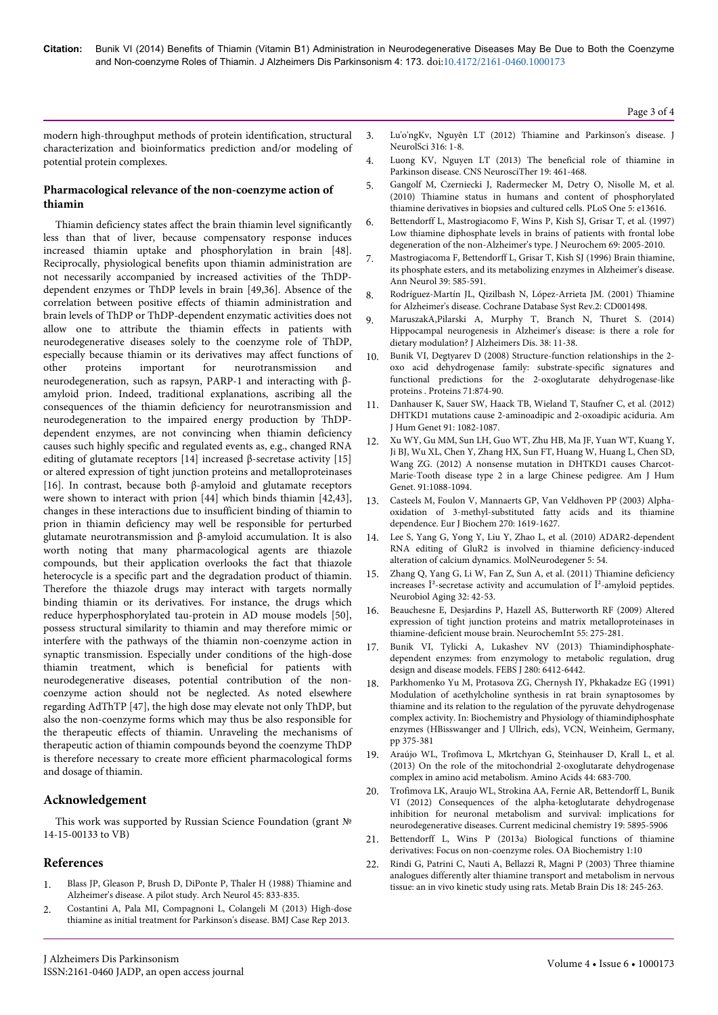modern high-throughput methods of protein identification, structural characterization and bioinformatics prediction and/or modeling of potential protein complexes.

## **Pharmacological relevance of the non-coenzyme action of thiamin**

Thiamin deficiency states affect the brain thiamin level significantly less than that of liver, because compensatory response induces increased thiamin uptake and phosphorylation in brain [48]. Reciprocally, physiological benefits upon thiamin administration are not necessarily accompanied by increased activities of the ThDPdependent enzymes or ThDP levels in brain [49,36]. Absence of the correlation between positive effects of thiamin administration and brain levels of ThDP or ThDP-dependent enzymatic activities does not allow one to attribute the thiamin effects in patients with neurodegenerative diseases solely to the coenzyme role of ThDP, especially because thiamin or its derivatives may affect functions of other proteins important for neurotransmission and neurodegeneration, such as rapsyn, PARP-1 and interacting with βamyloid prion. Indeed, traditional explanations, ascribing all the consequences of the thiamin deficiency for neurotransmission and neurodegeneration to the impaired energy production by ThDPdependent enzymes, are not convincing when thiamin deficiency causes such highly specific and regulated events as, e.g., changed RNA editing of glutamate receptors [14] increased β-secretase activity [15] or altered expression of tight junction proteins and metalloproteinases [16]. In contrast, because both β-amyloid and glutamate receptors were shown to interact with prion [44] which binds thiamin [42,43], changes in these interactions due to insufficient binding of thiamin to prion in thiamin deficiency may well be responsible for perturbed glutamate neurotransmission and β-amyloid accumulation. It is also worth noting that many pharmacological agents are thiazole compounds, but their application overlooks the fact that thiazole heterocycle is a specific part and the degradation product of thiamin. Therefore the thiazole drugs may interact with targets normally binding thiamin or its derivatives. For instance, the drugs which reduce hyperphosphorylated tau-protein in AD mouse models [50], possess structural similarity to thiamin and may therefore mimic or interfere with the pathways of the thiamin non-coenzyme action in synaptic transmission. Especially under conditions of the high-dose thiamin treatment, which is beneficial for patients with neurodegenerative diseases, potential contribution of the noncoenzyme action should not be neglected. As noted elsewhere regarding AdThTP [47], the high dose may elevate not only ThDP, but also the non-coenzyme forms which may thus be also responsible for the therapeutic effects of thiamin. Unraveling the mechanisms of therapeutic action of thiamin compounds beyond the coenzyme ThDP is therefore necessary to create more efficient pharmacological forms and dosage of thiamin.

# **Acknowledgement**

This work was supported by Russian Science Foundation (grant № 14-15-00133 to VB)

# **References**

- 1. [Blass JP, Gleason P, Brush D, DiPonte P, Thaler H \(1988\) Thiamine and](http://www.ncbi.nlm.nih.gov/pubmed/2969232) [Alzheimer's disease. A pilot study. Arch Neurol 45: 833-835.](http://www.ncbi.nlm.nih.gov/pubmed/2969232)
- 2. [Costantini A, Pala MI, Compagnoni L, Colangeli M \(2013\) High-dose](http://www.ncbi.nlm.nih.gov/pubmed/23986125) [thiamine as initial treatment for Parkinson's disease. BMJ Case Rep 2013.](http://www.ncbi.nlm.nih.gov/pubmed/23986125)
- 3. [Lu'o'ngKv, Nguyên LT \(2012\) Thiamine and Parkinson's disease. J](http://www.ncbi.nlm.nih.gov/pubmed/22385680) [NeurolSci 316: 1-8.](http://www.ncbi.nlm.nih.gov/pubmed/22385680)
- 4. [Luong KV, Nguyen LT \(2013\) The beneficial role of thiamine in](http://www.ncbi.nlm.nih.gov/pubmed/23462281) [Parkinson disease. CNS NeurosciTher 19: 461-468.](http://www.ncbi.nlm.nih.gov/pubmed/23462281)
- 5. [Gangolf M, Czerniecki J, Radermecker M, Detry O, Nisolle M, et al.](http://www.ncbi.nlm.nih.gov/pubmed/21049048) [\(2010\) Thiamine status in humans and content of phosphorylated](http://www.ncbi.nlm.nih.gov/pubmed/21049048) [thiamine derivatives in biopsies and cultured cells. PLoS One 5: e13616.](http://www.ncbi.nlm.nih.gov/pubmed/21049048)
- 6. [Bettendorff L, Mastrogiacomo F, Wins P, Kish SJ, Grisar T, et al. \(1997\)](http://www.ncbi.nlm.nih.gov/pubmed/9349545) [Low thiamine diphosphate levels in brains of patients with frontal lobe](http://www.ncbi.nlm.nih.gov/pubmed/9349545) [degeneration of the non-Alzheimer's type. J Neurochem 69: 2005-2010.](http://www.ncbi.nlm.nih.gov/pubmed/9349545)
- 7. [Mastrogiacoma F, Bettendorff L, Grisar T, Kish SJ \(1996\) Brain thiamine,](http://www.ncbi.nlm.nih.gov/pubmed/8619543) [its phosphate esters, and its metabolizing enzymes in Alzheimer's disease.](http://www.ncbi.nlm.nih.gov/pubmed/8619543) [Ann Neurol 39: 585-591.](http://www.ncbi.nlm.nih.gov/pubmed/8619543)
- 8. [Rodríguez-Martín JL, Qizilbash N, López-Arrieta JM. \(2001\) Thiamine](http://www.ncbi.nlm.nih.gov/pubmed/11405995) [for Alzheimer's disease. Cochrane Database Syst Rev.2: CD001498.](http://www.ncbi.nlm.nih.gov/pubmed/11405995)
- 9. [MaruszakA,Pilarski A, Murphy T, Branch N, Thuret S. \(2014\)](http://www.ncbi.nlm.nih.gov/pubmed/23948932) [Hippocampal neurogenesis in Alzheimer's disease: is there a role for](http://www.ncbi.nlm.nih.gov/pubmed/23948932) [dietary modulation? J Alzheimers Dis. 38: 11-38.](http://www.ncbi.nlm.nih.gov/pubmed/23948932)
- 10. [Bunik VI, Degtyarev D \(2008\) Structure-function relationships in the 2](http://www.ncbi.nlm.nih.gov/pubmed/18004749) [oxo acid dehydrogenase family: substrate-specific signatures and](http://www.ncbi.nlm.nih.gov/pubmed/18004749) [functional predictions for the 2-oxoglutarate dehydrogenase-like](http://www.ncbi.nlm.nih.gov/pubmed/18004749) [proteins . Proteins 71:874-90.](http://www.ncbi.nlm.nih.gov/pubmed/18004749)
- 11. [Danhauser K, Sauer SW, Haack TB, Wieland T, Staufner C, et al. \(2012\)](http://www.ncbi.nlm.nih.gov/pubmed/23141293) [DHTKD1 mutations cause 2-aminoadipic and 2-oxoadipic aciduria. Am](http://www.ncbi.nlm.nih.gov/pubmed/23141293) [J Hum Genet 91: 1082-1087.](http://www.ncbi.nlm.nih.gov/pubmed/23141293)
- 12. [Xu WY, Gu MM, Sun LH, Guo WT, Zhu HB, Ma JF, Yuan WT, Kuang Y,](http://www.ncbi.nlm.nih.gov/pubmed/23141294) [Ji BJ, Wu XL, Chen Y, Zhang HX, Sun FT, Huang W, Huang L, Chen SD,](http://www.ncbi.nlm.nih.gov/pubmed/23141294) [Wang ZG. \(2012\) A nonsense mutation in DHTKD1 causes Charcot-](http://www.ncbi.nlm.nih.gov/pubmed/23141294)[Marie-Tooth disease type 2 in a large Chinese pedigree. Am J Hum](http://www.ncbi.nlm.nih.gov/pubmed/23141294) [Genet. 91:1088-1094.](http://www.ncbi.nlm.nih.gov/pubmed/23141294)
- 13. [Casteels M, Foulon V, Mannaerts GP, Van Veldhoven PP \(2003\) Alpha](http://www.ncbi.nlm.nih.gov/pubmed/12694175)[oxidation of 3-methyl-substituted fatty acids and its thiamine](http://www.ncbi.nlm.nih.gov/pubmed/12694175) [dependence. Eur J Biochem 270: 1619-1627.](http://www.ncbi.nlm.nih.gov/pubmed/12694175)
- 14. [Lee S, Yang G, Yong Y, Liu Y, Zhao L, et al. \(2010\) ADAR2-dependent](http://www.ncbi.nlm.nih.gov/pubmed/21110885) [RNA editing of GluR2 is involved in thiamine deficiency-induced](http://www.ncbi.nlm.nih.gov/pubmed/21110885) [alteration of calcium dynamics. MolNeurodegener 5: 54.](http://www.ncbi.nlm.nih.gov/pubmed/21110885)
- [Zhang Q, Yang G, Li W, Fan Z, Sun A, et al. \(2011\) Thiamine deficiency](http://www.ncbi.nlm.nih.gov/pubmed/19233513) increases Î<sup>2</sup>-secretase activity and accumulation of Î<sup>2</sup>-amyloid peptides. [Neurobiol Aging 32: 42-53.](http://www.ncbi.nlm.nih.gov/pubmed/19233513)
- 16. [Beauchesne E, Desjardins P, Hazell AS, Butterworth RF \(2009\) Altered](http://www.ncbi.nlm.nih.gov/pubmed/19576514) [expression of tight junction proteins and matrix metalloproteinases in](http://www.ncbi.nlm.nih.gov/pubmed/19576514) [thiamine-deficient mouse brain. NeurochemInt 55: 275-281.](http://www.ncbi.nlm.nih.gov/pubmed/19576514)
- 17. [Bunik VI, Tylicki A, Lukashev NV \(2013\) Thiamindiphosphate](http://www.ncbi.nlm.nih.gov/pubmed/24004353)[dependent enzymes: from enzymology to metabolic regulation, drug](http://www.ncbi.nlm.nih.gov/pubmed/24004353) [design and disease models. FEBS J 280: 6412-6442.](http://www.ncbi.nlm.nih.gov/pubmed/24004353)
- 18. Parkhomenko Yu M, Protasova ZG, Chernysh IY, Pkhakadze EG (1991) Modulation of acethylcholine synthesis in rat brain synaptosomes by thiamine and its relation to the regulation of the pyruvate dehydrogenase complex activity. In: Biochemistry and Physiology of thiamindiphosphate enzymes (HBisswanger and J Ullrich, eds), VCN, Weinheim, Germany, pp 375-381
- 19. [Araújo WL, Trofimova L, Mkrtchyan G, Steinhauser D, Krall L, et al.](http://www.ncbi.nlm.nih.gov/pubmed/22983303) [\(2013\) On the role of the mitochondrial 2-oxoglutarate dehydrogenase](http://www.ncbi.nlm.nih.gov/pubmed/22983303) [complex in amino acid metabolism. Amino Acids 44: 683-700.](http://www.ncbi.nlm.nih.gov/pubmed/22983303)
- 20. [Trofimova LK, Araujo WL, Strokina AA, Fernie AR, Bettendorff L, Bunik](http://www.ncbi.nlm.nih.gov/pubmed/23061627) [VI \(2012\) Consequences of the alpha-ketoglutarate dehydrogenase](http://www.ncbi.nlm.nih.gov/pubmed/23061627) [inhibition for neuronal metabolism and survival: implications for](http://www.ncbi.nlm.nih.gov/pubmed/23061627) [neurodegenerative diseases. Current medicinal chemistry 19: 5895-5906](http://www.ncbi.nlm.nih.gov/pubmed/23061627)
- 21. [Bettendorff L, Wins P \(2013a\) Biological functions of thiamine](https://www.oapublishinglondon.com/article/860) [derivatives: Focus on non-coenzyme roles. OA Biochemistry 1:10](https://www.oapublishinglondon.com/article/860)
- 22. [Rindi G, Patrini C, Nauti A, Bellazzi R, Magni P \(2003\) Three thiamine](http://www.ncbi.nlm.nih.gov/pubmed/15128183) [analogues differently alter thiamine transport and metabolism in nervous](http://www.ncbi.nlm.nih.gov/pubmed/15128183) [tissue: an in vivo kinetic study using rats. Metab Brain Dis 18: 245-263.](http://www.ncbi.nlm.nih.gov/pubmed/15128183)